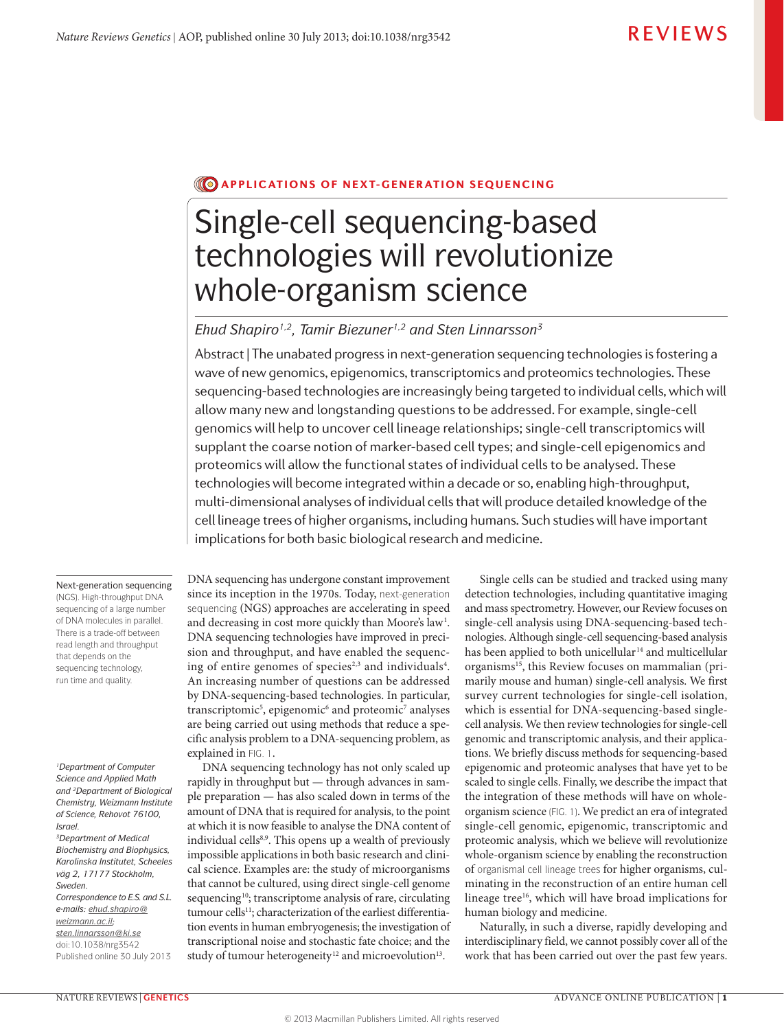## **CO APPLICATIONS OF NEXT-GENERATION SEQUENCING**

# Single-cell sequencing-based technologies will revolutionize whole-organism science

## *Ehud Shapiro1,2, Tamir Biezuner1,2 and Sten Linnarsson3*

Abstract | The unabated progress in next-generation sequencing technologies is fostering a wave of new genomics, epigenomics, transcriptomics and proteomics technologies. These sequencing-based technologies are increasingly being targeted to individual cells, which will allow many new and longstanding questions to be addressed. For example, single-cell genomics will help to uncover cell lineage relationships; single-cell transcriptomics will supplant the coarse notion of marker-based cell types; and single-cell epigenomics and proteomics will allow the functional states of individual cells to be analysed. These technologies will become integrated within a decade or so, enabling high-throughput, multi-dimensional analyses of individual cells that will produce detailed knowledge of the cell lineage trees of higher organisms, including humans. Such studies will have important implications for both basic biological research and medicine.

Next-generation sequencing (NGS). High-throughput DNA sequencing of a large number of DNA molecules in parallel. There is a trade-off between read length and throughput that depends on the sequencing technology, run time and quality.

*1Department of Computer Science and Applied Math and 2Department of Biological Chemistry, Weizmann Institute of Science, Rehovot 76100, Israel.*

*3Department of Medical Biochemistry and Biophysics, Karolinska Institutet, Scheeles väg 2, 17177 Stockholm, Sweden.*

*Correspondence to E.S. and S.L. e-mails: [ehud.shapiro@](mailto:ehud.shapiro@weizmann.ac.il) [weizmann.ac.il;](mailto:ehud.shapiro@weizmann.ac.il) [sten.linnarsson@ki.se](mailto:sten.linnarsson@ki.se)* doi:10.1038/nrg3542 Published online 30 July 2013 DNA sequencing has undergone constant improvement since its inception in the 1970s. Today, next-generation sequencing (NGS) approaches are accelerating in speed and decreasing in cost more quickly than Moore's law<sup>1</sup>. DNA sequencing technologies have improved in precision and throughput, and have enabled the sequencing of entire genomes of species<sup>2,3</sup> and individuals<sup>4</sup>. An increasing number of questions can be addressed by DNA-sequencing-based technologies. In particular, transcriptomic<sup>5</sup>, epigenomic<sup>6</sup> and proteomic<sup>7</sup> analyses are being carried out using methods that reduce a specific analysis problem to a DNA-sequencing problem, as explained in FIG. 1.

DNA sequencing technology has not only scaled up rapidly in throughput but — through advances in sample preparation — has also scaled down in terms of the amount of DNA that is required for analysis, to the point at which it is now feasible to analyse the DNA content of individual cells<sup>8,9</sup>. This opens up a wealth of previously impossible applications in both basic research and clinical science. Examples are: the study of microorganisms that cannot be cultured, using direct single-cell genome sequencing<sup>10</sup>; transcriptome analysis of rare, circulating tumour cells<sup>11</sup>; characterization of the earliest differentiation events in human embryogenesis; the investigation of transcriptional noise and stochastic fate choice; and the study of tumour heterogeneity<sup>12</sup> and microevolution<sup>13</sup>.

Single cells can be studied and tracked using many detection technologies, including quantitative imaging and mass spectrometry. However, our Review focuses on single-cell analysis using DNA-sequencing-based technologies. Although single-cell sequencing-based analysis has been applied to both unicellular<sup>14</sup> and multicellular organisms<sup>15</sup>, this Review focuses on mammalian (primarily mouse and human) single-cell analysis. We first survey current technologies for single-cell isolation, which is essential for DNA-sequencing-based singlecell analysis. We then review technologies for single-cell genomic and transcriptomic analysis, and their applications. We briefly discuss methods for sequencing-based epigenomic and proteomic analyses that have yet to be scaled to single cells. Finally, we describe the impact that the integration of these methods will have on wholeorganism science (FIG. 1). We predict an era of integrated single-cell genomic, epigenomic, transcriptomic and proteomic analysis, which we believe will revolutionize whole-organism science by enabling the reconstruction of organismal cell lineage trees for higher organisms, culminating in the reconstruction of an entire human cell lineage tree<sup>16</sup>, which will have broad implications for human biology and medicine.

Naturally, in such a diverse, rapidly developing and interdisciplinary field, we cannot possibly cover all of the work that has been carried out over the past few years.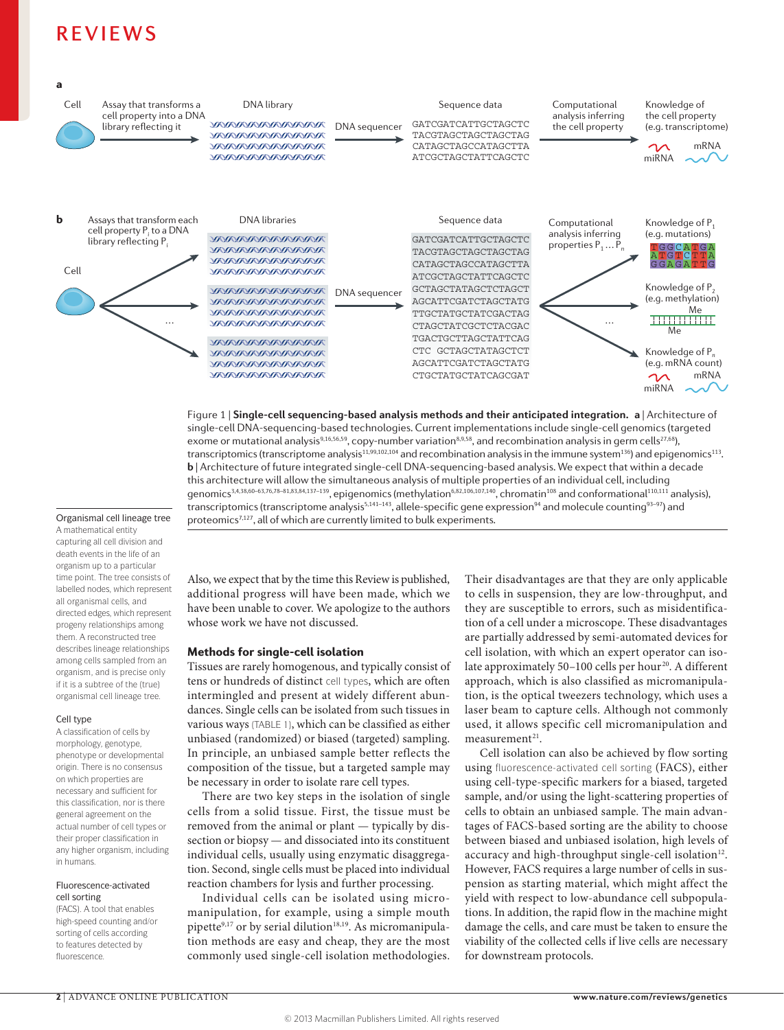

Figure 1 | **Single-cell sequencing-based analysis methods and their anticipated integration. a** | Architecture of single-cell DNA-sequencing-based technologies. Current implementations include single-cell genomics (targeted **Nature Reviews** | **Genetics** exome or mutational analysis<sup>9,16,56,59</sup>, copy-number variation<sup>8,9,58</sup>, and recombination analysis in germ cells<sup>27,68</sup>), transcriptomics (transcriptome analysis<sup>11,99,102,104</sup> and recombination analysis in the immune system<sup>136</sup>) and epigenomics<sup>113</sup>. **b** | Architecture of future integrated single-cell DNA-sequencing-based analysis. We expect that within a decade this architecture will allow the simultaneous analysis of multiple properties of an individual cell, including genomics<sup>3,4,38,60-63,76,78-81,83,84,137-139</sup>, epigenomics (methylation<sup>6,82,106,107,140</sup>, chromatin<sup>108</sup> and conformational<sup>110,111</sup> analysis), transcriptomics (transcriptome analysis<sup>5,141-143</sup>, allele-specific gene expression<sup>94</sup> and molecule counting<sup>93-97</sup>) and proteomics<sup>7,127</sup>, all of which are currently limited to bulk experiments.

Organismal cell lineage tree A mathematical entity capturing all cell division and death events in the life of an organism up to a particular time point. The tree consists of labelled nodes, which represent all organismal cells, and directed edges, which represent progeny relationships among them. A reconstructed tree describes lineage relationships among cells sampled from an organism, and is precise only if it is a subtree of the (true) organismal cell lineage tree.

#### Cell type

A classification of cells by morphology, genotype, phenotype or developmental origin. There is no consensus on which properties are necessary and sufficient for this classification, nor is there general agreement on the actual number of cell types or their proper classification in any higher organism, including in humans.

#### Fluorescence-activated cell sorting

(FACS). A tool that enables high-speed counting and/or sorting of cells according to features detected by fluorescence.

Also, we expect that by the time this Review is published, additional progress will have been made, which we have been unable to cover. We apologize to the authors whose work we have not discussed.

#### Methods for single-cell isolation

Tissues are rarely homogenous, and typically consist of tens or hundreds of distinct cell types, which are often intermingled and present at widely different abundances. Single cells can be isolated from such tissues in various ways (TABLE 1), which can be classified as either unbiased (randomized) or biased (targeted) sampling. In principle, an unbiased sample better reflects the composition of the tissue, but a targeted sample may be necessary in order to isolate rare cell types.

There are two key steps in the isolation of single cells from a solid tissue. First, the tissue must be removed from the animal or plant — typically by dissection or biopsy — and dissociated into its constituent individual cells, usually using enzymatic disaggregation. Second, single cells must be placed into individual reaction chambers for lysis and further processing.

Individual cells can be isolated using micromanipulation, for example, using a simple mouth pipette<sup>9,17</sup> or by serial dilution<sup>18,19</sup>. As micromanipulation methods are easy and cheap, they are the most commonly used single-cell isolation methodologies.

Their disadvantages are that they are only applicable to cells in suspension, they are low-throughput, and they are susceptible to errors, such as misidentification of a cell under a microscope. These disadvantages are partially addressed by semi-automated devices for cell isolation, with which an expert operator can isolate approximately 50-100 cells per hour<sup>20</sup>. A different approach, which is also classified as micromanipulation, is the optical tweezers technology, which uses a laser beam to capture cells. Although not commonly used, it allows specific cell micromanipulation and  $measurement<sup>21</sup>$ .

Cell isolation can also be achieved by flow sorting using fluorescence-activated cell sorting (FACS), either using cell-type-specific markers for a biased, targeted sample, and/or using the light-scattering properties of cells to obtain an unbiased sample. The main advantages of FACS-based sorting are the ability to choose between biased and unbiased isolation, high levels of accuracy and high-throughput single-cell isolation<sup>12</sup>. However, FACS requires a large number of cells in suspension as starting material, which might affect the yield with respect to low-abundance cell subpopulations. In addition, the rapid flow in the machine might damage the cells, and care must be taken to ensure the viability of the collected cells if live cells are necessary for downstream protocols.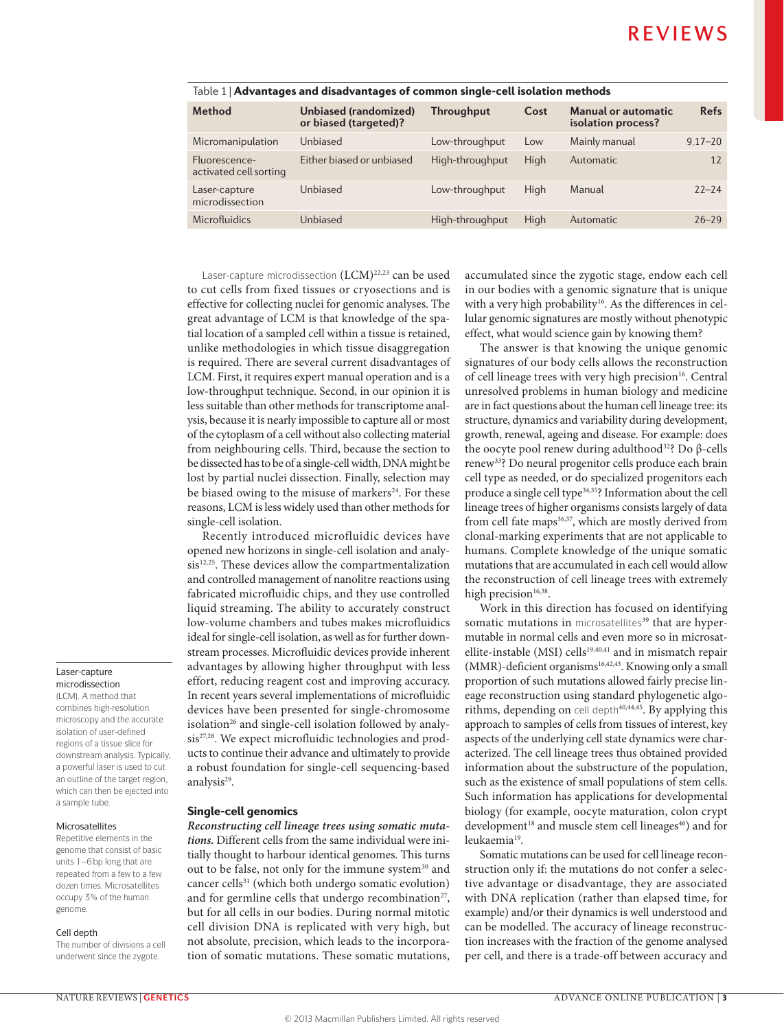| Table 1   Advantages and disadvantages of common single-cell isolation methods |                                                |                 |      |                                                  |             |  |  |
|--------------------------------------------------------------------------------|------------------------------------------------|-----------------|------|--------------------------------------------------|-------------|--|--|
| <b>Method</b>                                                                  | Unbiased (randomized)<br>or biased (targeted)? | Throughput      | Cost | <b>Manual or automatic</b><br>isolation process? | <b>Refs</b> |  |  |
| Micromanipulation                                                              | Unbiased                                       | Low-throughput  | Low  | Mainly manual                                    | $9,17 - 20$ |  |  |
| Fluorescence-<br>activated cell sorting                                        | Either biased or unbiased                      | High-throughput | High | Automatic                                        | 12          |  |  |
| Laser-capture<br>microdissection                                               | Unbiased                                       | Low-throughput  | High | Manual                                           | $22 - 24$   |  |  |
| <b>Microfluidics</b>                                                           | Unbiased                                       | High-throughput | High | Automatic                                        | $26 - 29$   |  |  |

Laser-capture microdissection  $(LCM)^{22,23}$  can be used to cut cells from fixed tissues or cryosections and is effective for collecting nuclei for genomic analyses. The great advantage of LCM is that knowledge of the spatial location of a sampled cell within a tissue is retained, unlike methodologies in which tissue disaggregation is required. There are several current disadvantages of LCM. First, it requires expert manual operation and is a low-throughput technique. Second, in our opinion it is less suitable than other methods for transcriptome analysis, because it is nearly impossible to capture all or most of the cytoplasm of a cell without also collecting material from neighbouring cells. Third, because the section to be dissected has to be of a single-cell width, DNA might be lost by partial nuclei dissection. Finally, selection may be biased owing to the misuse of markers<sup>24</sup>. For these reasons, LCM is less widely used than other methods for single-cell isolation.

Recently introduced microfluidic devices have opened new horizons in single-cell isolation and analysis<sup>12,25</sup>. These devices allow the compartmentalization and controlled management of nanolitre reactions using fabricated microfluidic chips, and they use controlled liquid streaming. The ability to accurately construct low-volume chambers and tubes makes microfluidics ideal for single-cell isolation, as well as for further downstream processes. Microfluidic devices provide inherent advantages by allowing higher throughput with less effort, reducing reagent cost and improving accuracy. In recent years several implementations of microfluidic devices have been presented for single-chromosome isolation<sup>26</sup> and single-cell isolation followed by analysis<sup>27,28</sup>. We expect microfluidic technologies and products to continue their advance and ultimately to provide a robust foundation for single-cell sequencing-based analysis<sup>29</sup>.

#### microdissection (LCM). A method that combines high-resolution

Laser-capture

microscopy and the accurate isolation of user-defined regions of a tissue slice for downstream analysis. Typically, a powerful laser is used to cut an outline of the target region, which can then be ejected into a sample tube.

#### Microsatellites

Repetitive elements in the genome that consist of basic units 1–6bp long that are repeated from a few to a few dozen times. Microsatellites occupy 3% of the human genome.

#### Cell depth

The number of divisions a cell underwent since the zygote.

### Single-cell genomics

*Reconstructing cell lineage trees using somatic mutations.* Different cells from the same individual were initially thought to harbour identical genomes. This turns out to be false, not only for the immune system<sup>30</sup> and cancer cells<sup>31</sup> (which both undergo somatic evolution) and for germline cells that undergo recombination $27$ , but for all cells in our bodies. During normal mitotic cell division DNA is replicated with very high, but not absolute, precision, which leads to the incorporation of somatic mutations. These somatic mutations,

accumulated since the zygotic stage, endow each cell in our bodies with a genomic signature that is unique with a very high probability<sup>16</sup>. As the differences in cellular genomic signatures are mostly without phenotypic effect, what would science gain by knowing them?

The answer is that knowing the unique genomic signatures of our body cells allows the reconstruction of cell lineage trees with very high precision<sup>16</sup>. Central unresolved problems in human biology and medicine are in fact questions about the human cell lineage tree: its structure, dynamics and variability during development, growth, renewal, ageing and disease. For example: does the oocyte pool renew during adulthood<sup>32</sup>? Do β-cells renew33? Do neural progenitor cells produce each brain cell type as needed, or do specialized progenitors each produce a single cell type<sup>34,35</sup>? Information about the cell lineage trees of higher organisms consists largely of data from cell fate maps<sup>36,37</sup>, which are mostly derived from clonal-marking experiments that are not applicable to humans. Complete knowledge of the unique somatic mutations that are accumulated in each cell would allow the reconstruction of cell lineage trees with extremely high precision<sup>16,38</sup>.

Work in this direction has focused on identifying somatic mutations in microsatellites<sup>39</sup> that are hypermutable in normal cells and even more so in microsatellite-instable (MSI) cells<sup>19,40,41</sup> and in mismatch repair  $(MMR)$ -deficient organisms<sup>16,42,43</sup>. Knowing only a small proportion of such mutations allowed fairly precise lineage reconstruction using standard phylogenetic algorithms, depending on cell depth $40,44,45$ . By applying this approach to samples of cells from tissues of interest, key aspects of the underlying cell state dynamics were characterized. The cell lineage trees thus obtained provided information about the substructure of the population, such as the existence of small populations of stem cells. Such information has applications for developmental biology (for example, oocyte maturation, colon crypt development<sup>18</sup> and muscle stem cell lineages<sup>46</sup>) and for leukaemia<sup>19</sup>.

Somatic mutations can be used for cell lineage reconstruction only if: the mutations do not confer a selective advantage or disadvantage, they are associated with DNA replication (rather than elapsed time, for example) and/or their dynamics is well understood and can be modelled. The accuracy of lineage reconstruction increases with the fraction of the genome analysed per cell, and there is a trade-off between accuracy and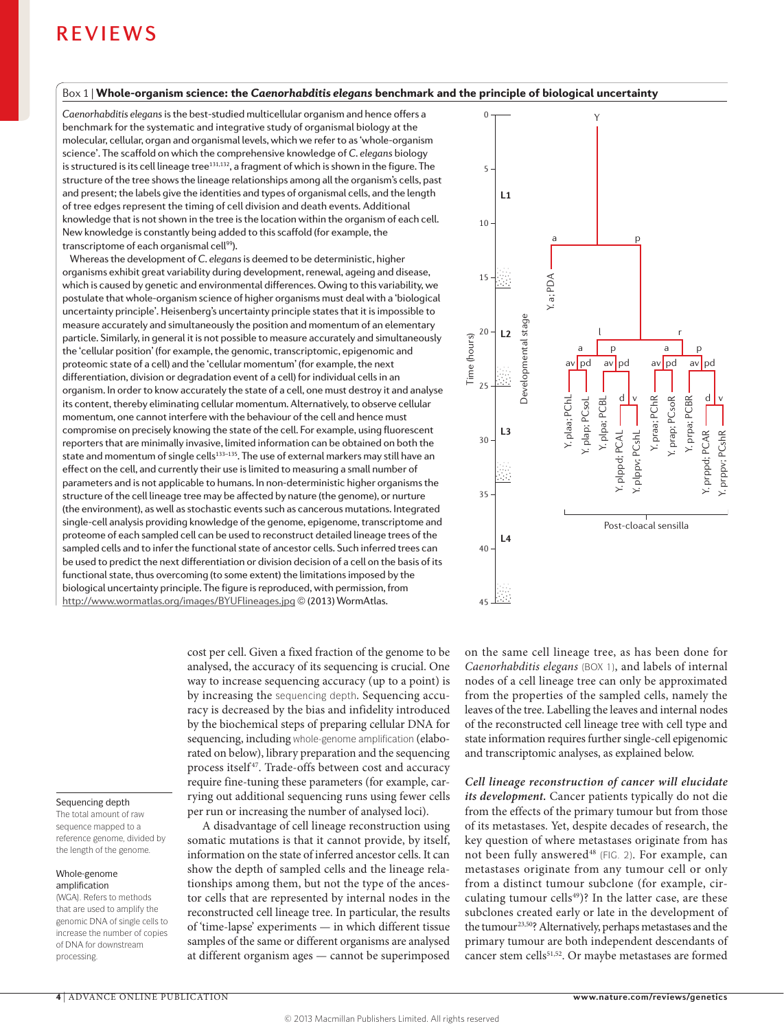### Box 1 | Whole-organism science: the *Caenorhabditis elegans* benchmark and the principle of biological uncertainty

*Caenorhabditis elegans* is the best-studied multicellular organism and hence offers a benchmark for the systematic and integrative study of organismal biology at the molecular, cellular, organ and organismal levels, which we refer to as 'whole-organism science'. The scaffold on which the comprehensive knowledge of *C. elegans* biology is structured is its cell lineage tree<sup>131,132</sup>, a fragment of which is shown in the figure. The structure of the tree shows the lineage relationships among all the organism's cells, past and present; the labels give the identities and types of organismal cells, and the length of tree edges represent the timing of cell division and death events. Additional knowledge that is not shown in the tree is the location within the organism of each cell. New knowledge is constantly being added to this scaffold (for example, the transcriptome of each organismal cell<sup>99</sup>).

Whereas the development of *C. elegans* is deemed to be deterministic, higher organisms exhibit great variability during development, renewal, ageing and disease, which is caused by genetic and environmental differences. Owing to this variability, we postulate that whole-organism science of higher organisms must deal with a 'biological uncertainty principle'. Heisenberg's uncertainty principle states that it is impossible to measure accurately and simultaneously the position and momentum of an elementary particle. Similarly, in general it is not possible to measure accurately and simultaneously the 'cellular position' (for example, the genomic, transcriptomic, epigenomic and proteomic state of a cell) and the 'cellular momentum' (for example, the next differentiation, division or degradation event of a cell) for individual cells in an organism. In order to know accurately the state of a cell, one must destroy it and analyse its content, thereby eliminating cellular momentum. Alternatively, to observe cellular momentum, one cannot interfere with the behaviour of the cell and hence must compromise on precisely knowing the state of the cell. For example, using fluorescent reporters that are minimally invasive, limited information can be obtained on both the state and momentum of single cells<sup>133-135</sup>. The use of external markers may still have an effect on the cell, and currently their use is limited to measuring a small number of parameters and is not applicable to humans. In non-deterministic higher organisms the structure of the cell lineage tree may be affected by nature (the genome), or nurture (the environment), as well as stochastic events such as cancerous mutations. Integrated single-cell analysis providing knowledge of the genome, epigenome, transcriptome and proteome of each sampled cell can be used to reconstruct detailed lineage trees of the sampled cells and to infer the functional state of ancestor cells. Such inferred trees can be used to predict the next differentiation or division decision of a cell on the basis of its functional state, thus overcoming (to some extent) the limitations imposed by the biological uncertainty principle. The figure is reproduced, with permission, from <http://www.wormatlas.org/images/BYUFlineages.jpg> © (2013) WormAtlas.



analysed, the accuracy of its sequencing is crucial. One way to increase sequencing accuracy (up to a point) is by increasing the sequencing depth. Sequencing accuracy is decreased by the bias and infidelity introduced by the biochemical steps of preparing cellular DNA for sequencing, including whole-genome amplification (elaborated on below), library preparation and the sequencing process itself<sup>47</sup>. Trade-offs between cost and accuracy require fine-tuning these parameters (for example, carrying out additional sequencing runs using fewer cells per run or increasing the number of analysed loci).

cost per cell. Given a fixed fraction of the genome to be

A disadvantage of cell lineage reconstruction using somatic mutations is that it cannot provide, by itself, information on the state of inferred ancestor cells. It can show the depth of sampled cells and the lineage relationships among them, but not the type of the ancestor cells that are represented by internal nodes in the reconstructed cell lineage tree. In particular, the results of 'time-lapse' experiments — in which different tissue samples of the same or different organisms are analysed at different organism ages — cannot be superimposed on the same cell lineage tree, as has been done for *Caenorhabditis elegans* (BOX 1), and labels of internal nodes of a cell lineage tree can only be approximated from the properties of the sampled cells, namely the leaves of the tree. Labelling the leaves and internal nodes of the reconstructed cell lineage tree with cell type and state information requires further single-cell epigenomic and transcriptomic analyses, as explained below.

**Nature Reviews** | **Genetics**

*Cell lineage reconstruction of cancer will elucidate its development.* Cancer patients typically do not die from the effects of the primary tumour but from those of its metastases. Yet, despite decades of research, the key question of where metastases originate from has not been fully answered<sup>48</sup> (FIG. 2). For example, can metastases originate from any tumour cell or only from a distinct tumour subclone (for example, circulating tumour cells<sup>49</sup>)? In the latter case, are these subclones created early or late in the development of the tumour<sup>23,50</sup>? Alternatively, perhaps metastases and the primary tumour are both independent descendants of cancer stem cells<sup>51,52</sup>. Or maybe metastases are formed

#### Sequencing depth

The total amount of raw sequence mapped to a reference genome, divided by the length of the genome.

#### Whole-genome amplification

(WGA). Refers to methods that are used to amplify the genomic DNA of single cells to increase the number of copies of DNA for downstream processing.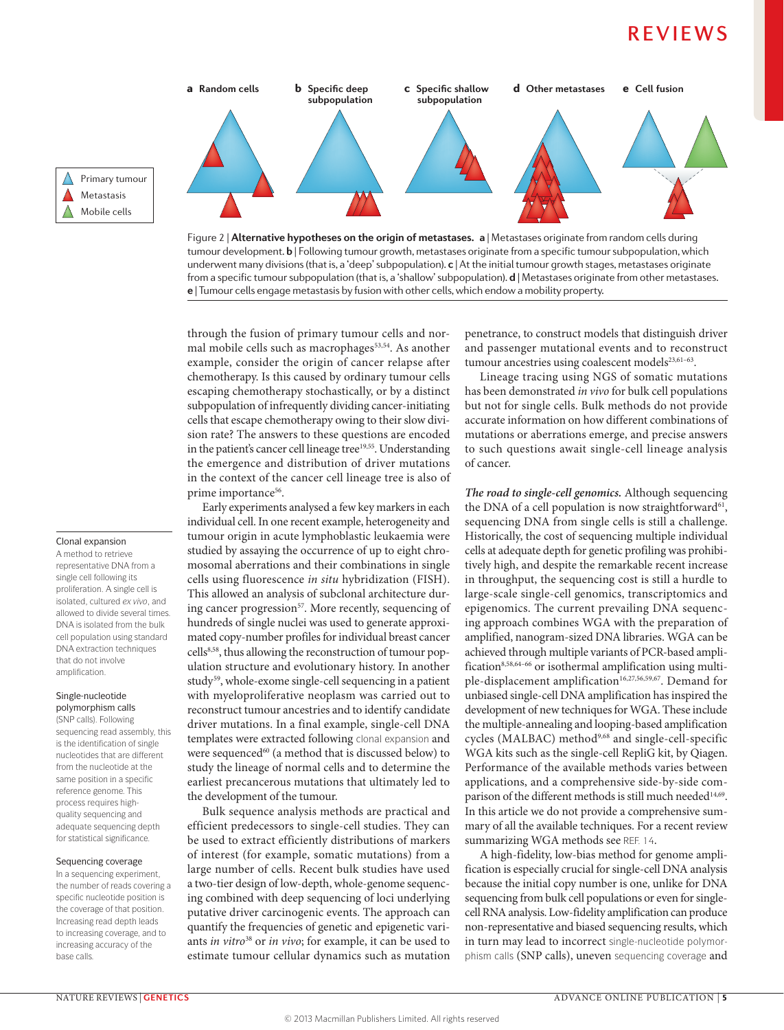



through the fusion of primary tumour cells and normal mobile cells such as macrophages<sup>53,54</sup>. As another example, consider the origin of cancer relapse after chemotherapy. Is this caused by ordinary tumour cells escaping chemotherapy stochastically, or by a distinct subpopulation of infrequently dividing cancer-initiating cells that escape chemotherapy owing to their slow division rate? The answers to these questions are encoded in the patient's cancer cell lineage tree<sup>19,55</sup>. Understanding the emergence and distribution of driver mutations in the context of the cancer cell lineage tree is also of prime importance<sup>56</sup>.

Early experiments analysed a few key markers in each individual cell. In one recent example, heterogeneity and tumour origin in acute lymphoblastic leukaemia were studied by assaying the occurrence of up to eight chromosomal aberrations and their combinations in single cells using fluorescence *in situ* hybridization (FISH). This allowed an analysis of subclonal architecture during cancer progression<sup>57</sup>. More recently, sequencing of hundreds of single nuclei was used to generate approximated copy-number profiles for individual breast cancer cells<sup>8,58</sup>, thus allowing the reconstruction of tumour population structure and evolutionary history. In another study<sup>59</sup>, whole-exome single-cell sequencing in a patient with myeloproliferative neoplasm was carried out to reconstruct tumour ancestries and to identify candidate driver mutations. In a final example, single-cell DNA templates were extracted following clonal expansion and were sequenced<sup>60</sup> (a method that is discussed below) to study the lineage of normal cells and to determine the earliest precancerous mutations that ultimately led to the development of the tumour.

Bulk sequence analysis methods are practical and efficient predecessors to single-cell studies. They can be used to extract efficiently distributions of markers of interest (for example, somatic mutations) from a large number of cells. Recent bulk studies have used a two-tier design of low-depth, whole-genome sequencing combined with deep sequencing of loci underlying putative driver carcinogenic events. The approach can quantify the frequencies of genetic and epigenetic variants *in vitro*38 or *in vivo*; for example, it can be used to estimate tumour cellular dynamics such as mutation penetrance, to construct models that distinguish driver and passenger mutational events and to reconstruct tumour ancestries using coalescent models<sup>23,61-63</sup>.

Lineage tracing using NGS of somatic mutations has been demonstrated *in vivo* for bulk cell populations but not for single cells. Bulk methods do not provide accurate information on how different combinations of mutations or aberrations emerge, and precise answers to such questions await single-cell lineage analysis of cancer.

*The road to single-cell genomics.* Although sequencing the DNA of a cell population is now straightforward<sup>61</sup>, sequencing DNA from single cells is still a challenge. Historically, the cost of sequencing multiple individual cells at adequate depth for genetic profiling was prohibitively high, and despite the remarkable recent increase in throughput, the sequencing cost is still a hurdle to large-scale single-cell genomics, transcriptomics and epigenomics. The current prevailing DNA sequencing approach combines WGA with the preparation of amplified, nanogram-sized DNA libraries. WGA can be achieved through multiple variants of PCR-based amplification<sup>8,58,64-66</sup> or isothermal amplification using multiple-displacement amplification<sup>16,27,56,59,67</sup>. Demand for unbiased single-cell DNA amplification has inspired the development of new techniques for WGA. These include the multiple-annealing and looping-based amplification cycles (MALBAC) method<sup>9,68</sup> and single-cell-specific WGA kits such as the single-cell RepliG kit, by Qiagen. Performance of the available methods varies between applications, and a comprehensive side-by-side comparison of the different methods is still much needed<sup>14,69</sup>. In this article we do not provide a comprehensive summary of all the available techniques. For a recent review summarizing WGA methods see REF. 14.

A high-fidelity, low-bias method for genome amplification is especially crucial for single-cell DNA analysis because the initial copy number is one, unlike for DNA sequencing from bulk cell populations or even for singlecell RNA analysis. Low-fidelity amplification can produce non-representative and biased sequencing results, which in turn may lead to incorrect single-nucleotide polymorphism calls (SNP calls), uneven sequencing coverage and

### Clonal expansion

A method to retrieve representative DNA from a single cell following its proliferation. A single cell is isolated, cultured *ex vivo*, and allowed to divide several times. DNA is isolated from the bulk cell population using standard DNA extraction techniques that do not involve amplification.

#### Single-nucleotide polymorphism calls

(SNP calls). Following sequencing read assembly, this is the identification of single nucleotides that are different from the nucleotide at the same position in a specific reference genome. This process requires highquality sequencing and adequate sequencing depth for statistical significance.

#### Sequencing coverage

In a sequencing experiment, the number of reads covering a specific nucleotide position is the coverage of that position. Increasing read depth leads to increasing coverage, and to increasing accuracy of the base calls.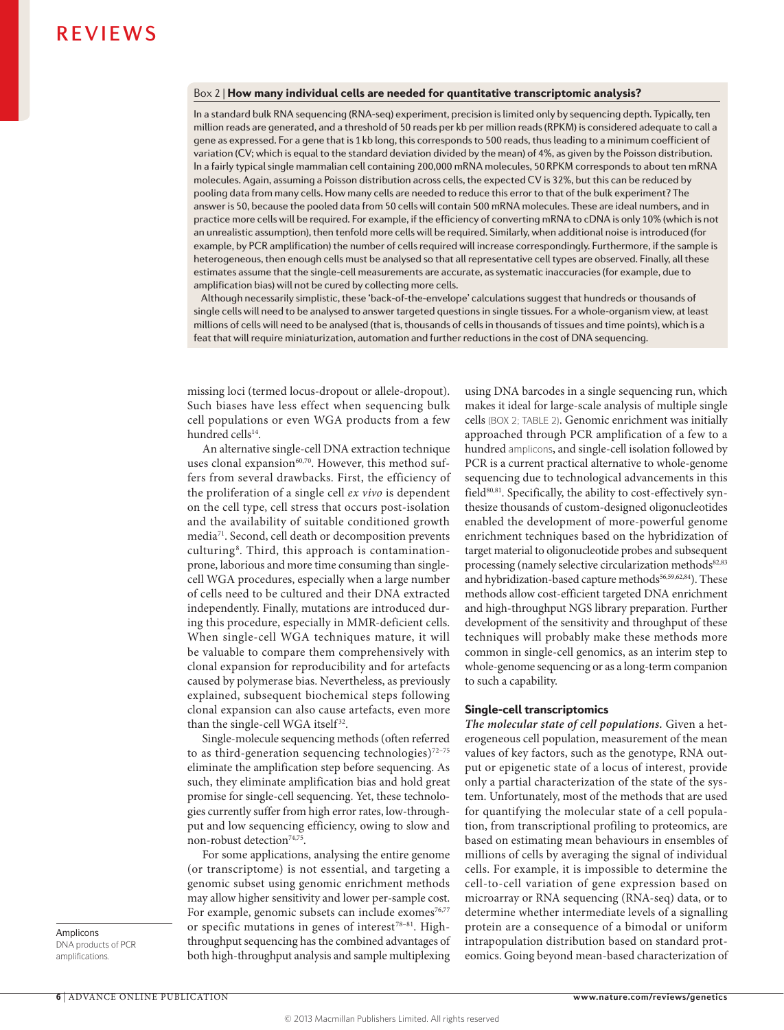### Box 2 | How many individual cells are needed for quantitative transcriptomic analysis?

In a standard bulk RNA sequencing (RNA-seq) experiment, precision is limited only by sequencing depth. Typically, ten million reads are generated, and a threshold of 50 reads per kb per million reads (RPKM) is considered adequate to call a gene as expressed. For a gene that is 1kb long, this corresponds to 500 reads, thus leading to a minimum coefficient of variation (CV; which is equal to the standard deviation divided by the mean) of 4%, as given by the Poisson distribution. In a fairly typical single mammalian cell containing 200,000 mRNA molecules, 50RPKM corresponds to about ten mRNA molecules. Again, assuming a Poisson distribution across cells, the expected CV is 32%, but this can be reduced by pooling data from many cells. How many cells are needed to reduce this error to that of the bulk experiment? The answer is 50, because the pooled data from 50 cells will contain 500 mRNA molecules. These are ideal numbers, and in practice more cells will be required. For example, if the efficiency of converting mRNA to cDNA is only 10% (which is not an unrealistic assumption), then tenfold more cells will be required. Similarly, when additional noise is introduced (for example, by PCR amplification) the number of cells required will increase correspondingly. Furthermore, if the sample is heterogeneous, then enough cells must be analysed so that all representative cell types are observed. Finally, all these estimates assume that the single-cell measurements are accurate, as systematic inaccuracies (for example, due to amplification bias) will not be cured by collecting more cells.

Although necessarily simplistic, these 'back-of-the-envelope' calculations suggest that hundreds or thousands of single cells will need to be analysed to answer targeted questions in single tissues. For a whole-organism view, at least millions of cells will need to be analysed (that is, thousands of cells in thousands of tissues and time points), which is a feat that will require miniaturization, automation and further reductions in the cost of DNA sequencing.

missing loci (termed locus-dropout or allele-dropout). Such biases have less effect when sequencing bulk cell populations or even WGA products from a few hundred cells<sup>14</sup>.

An alternative single-cell DNA extraction technique uses clonal expansion<sup>60,70</sup>. However, this method suffers from several drawbacks. First, the efficiency of the proliferation of a single cell *ex vivo* is dependent on the cell type, cell stress that occurs post-isolation and the availability of suitable conditioned growth media71. Second, cell death or decomposition prevents culturing <sup>8</sup> . Third, this approach is contaminationprone, laborious and more time consuming than singlecell WGA procedures, especially when a large number of cells need to be cultured and their DNA extracted independently. Finally, mutations are introduced during this procedure, especially in MMR-deficient cells. When single-cell WGA techniques mature, it will be valuable to compare them comprehensively with clonal expansion for reproducibility and for artefacts caused by polymerase bias. Nevertheless, as previously explained, subsequent biochemical steps following clonal expansion can also cause artefacts, even more than the single-cell WGA itself $32$ .

Single-molecule sequencing methods (often referred to as third-generation sequencing technologies) $72-75$ eliminate the amplification step before sequencing. As such, they eliminate amplification bias and hold great promise for single-cell sequencing. Yet, these technologies currently suffer from high error rates, low-throughput and low sequencing efficiency, owing to slow and non-robust detection<sup>74,75</sup>.

For some applications, analysing the entire genome (or transcriptome) is not essential, and targeting a genomic subset using genomic enrichment methods may allow higher sensitivity and lower per-sample cost. For example, genomic subsets can include exomes<sup>76,77</sup> or specific mutations in genes of interest<sup>78-81</sup>. Highthroughput sequencing has the combined advantages of both high-throughput analysis and sample multiplexing using DNA barcodes in a single sequencing run, which makes it ideal for large-scale analysis of multiple single cells (BOX 2; TABLE 2). Genomic enrichment was initially approached through PCR amplification of a few to a hundred amplicons, and single-cell isolation followed by PCR is a current practical alternative to whole-genome sequencing due to technological advancements in this field<sup>80,81</sup>. Specifically, the ability to cost-effectively synthesize thousands of custom-designed oligonucleotides enabled the development of more-powerful genome enrichment techniques based on the hybridization of target material to oligonucleotide probes and subsequent processing (namely selective circularization methods<sup>82,83</sup> and hybridization-based capture methods $56,59,62,84$ ). These methods allow cost-efficient targeted DNA enrichment and high-throughput NGS library preparation. Further development of the sensitivity and throughput of these techniques will probably make these methods more common in single-cell genomics, as an interim step to whole-genome sequencing or as a long-term companion to such a capability.

#### Single-cell transcriptomics

*The molecular state of cell populations.* Given a heterogeneous cell population, measurement of the mean values of key factors, such as the genotype, RNA output or epigenetic state of a locus of interest, provide only a partial characterization of the state of the system. Unfortunately, most of the methods that are used for quantifying the molecular state of a cell population, from transcriptional profiling to proteomics, are based on estimating mean behaviours in ensembles of millions of cells by averaging the signal of individual cells. For example, it is impossible to determine the cell-to-cell variation of gene expression based on microarray or RNA sequencing (RNA-seq) data, or to determine whether intermediate levels of a signalling protein are a consequence of a bimodal or uniform intrapopulation distribution based on standard proteomics. Going beyond mean-based characterization of

Amplicons DNA products of PCR amplifications.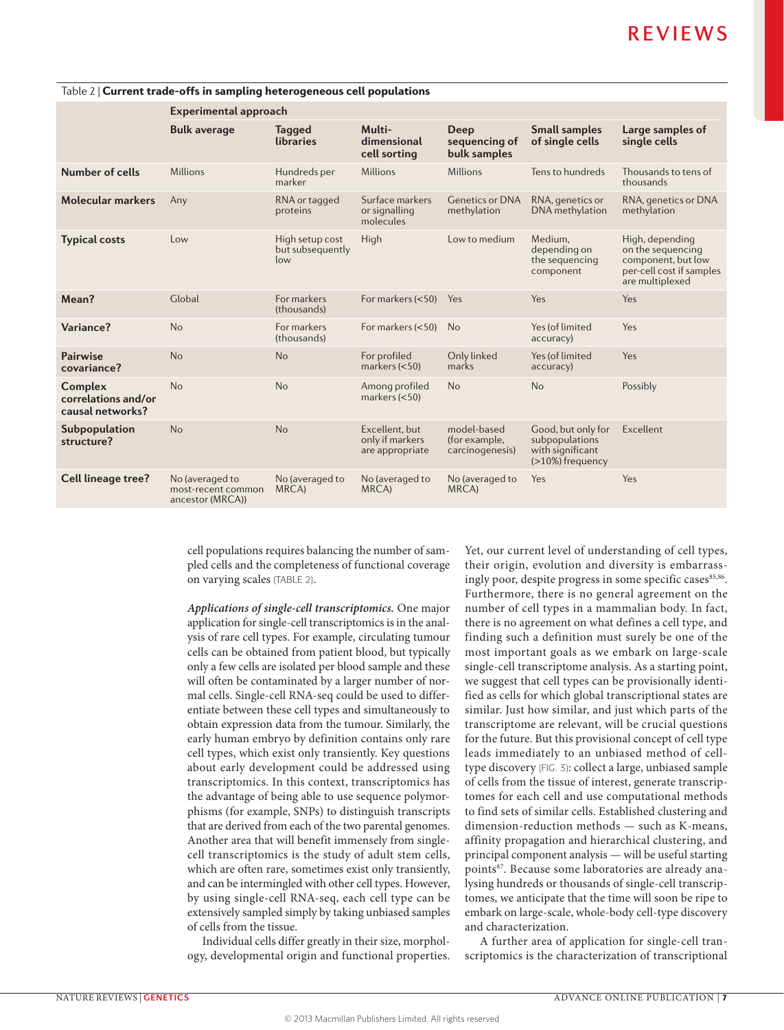|                                                    | <b>Experimental approach</b>                              |                                            |                                                      |                                                 |                                                                                 |                                                                                                           |  |
|----------------------------------------------------|-----------------------------------------------------------|--------------------------------------------|------------------------------------------------------|-------------------------------------------------|---------------------------------------------------------------------------------|-----------------------------------------------------------------------------------------------------------|--|
|                                                    | <b>Bulk average</b>                                       | <b>Tagged</b><br>libraries                 | Multi-<br>dimensional<br>cell sorting                | Deep<br>sequencing of<br>bulk samples           | <b>Small samples</b><br>of single cells                                         | Large samples of<br>single cells                                                                          |  |
| Number of cells                                    | <b>Millions</b>                                           | Hundreds per<br>marker                     | <b>Millions</b>                                      | <b>Millions</b>                                 | Tens to hundreds                                                                | Thousands to tens of<br>thousands                                                                         |  |
| <b>Molecular markers</b>                           | Any                                                       | RNA or tagged<br>proteins                  | Surface markers<br>or signalling<br>molecules        | <b>Genetics or DNA</b><br>methylation           | RNA, genetics or<br>DNA methylation                                             | RNA, genetics or DNA<br>methylation                                                                       |  |
| <b>Typical costs</b>                               | Low                                                       | High setup cost<br>but subsequently<br>low | High                                                 | Low to medium                                   | Medium.<br>depending on<br>the sequencing<br>component                          | High, depending<br>on the sequencing<br>component, but low<br>per-cell cost if samples<br>are multiplexed |  |
| Mean?                                              | Global                                                    | For markers<br>(thousands)                 | For markers (<50)                                    | Yes                                             | Yes                                                                             | Yes                                                                                                       |  |
| Variance?                                          | <b>No</b>                                                 | For markers<br>(thousands)                 | For markers (<50)                                    | <b>No</b>                                       | Yes (of limited<br>accuracy)                                                    | Yes                                                                                                       |  |
| <b>Pairwise</b><br>covariance?                     | <b>No</b>                                                 | No                                         | For profiled<br>markers $(<50)$                      | Only linked<br>marks                            | Yes (of limited<br>accuracy)                                                    | Yes                                                                                                       |  |
| Complex<br>correlations and/or<br>causal networks? | <b>No</b>                                                 | <b>No</b>                                  | Among profiled<br>markers $(<50)$                    | <b>No</b>                                       | <b>No</b>                                                                       | Possibly                                                                                                  |  |
| Subpopulation<br>structure?                        | <b>No</b>                                                 | No                                         | Excellent, but<br>only if markers<br>are appropriate | model-based<br>(for example,<br>carcinogenesis) | Good, but only for<br>subpopulations<br>with significant<br>$(>10\%)$ frequency | <b>Fxcellent</b>                                                                                          |  |
| Cell lineage tree?                                 | No (averaged to<br>most-recent common<br>ancestor (MRCA)) | No (averaged to<br>MRCA)                   | No (averaged to<br>MRCA)                             | No (averaged to<br>MRCA)                        | Yes                                                                             | Yes                                                                                                       |  |

### Table 2 | Current trade-offs in sampling heterogeneous cell populations

cell populations requires balancing the number of sampled cells and the completeness of functional coverage on varying scales (TABLE 2).

*Applications of single-cell transcriptomics.* One major application for single-cell transcriptomics is in the analysis of rare cell types. For example, circulating tumour cells can be obtained from patient blood, but typically only a few cells are isolated per blood sample and these will often be contaminated by a larger number of normal cells. Single-cell RNA-seq could be used to differentiate between these cell types and simultaneously to obtain expression data from the tumour. Similarly, the early human embryo by definition contains only rare cell types, which exist only transiently. Key questions about early development could be addressed using transcriptomics. In this context, transcriptomics has the advantage of being able to use sequence polymorphisms (for example, SNPs) to distinguish transcripts that are derived from each of the two parental genomes. Another area that will benefit immensely from singlecell transcriptomics is the study of adult stem cells, which are often rare, sometimes exist only transiently, and can be intermingled with other cell types. However, by using single-cell RNA-seq, each cell type can be extensively sampled simply by taking unbiased samples of cells from the tissue.

Individual cells differ greatly in their size, morphology, developmental origin and functional properties. Yet, our current level of understanding of cell types, their origin, evolution and diversity is embarrassingly poor, despite progress in some specific cases<sup>85,86</sup>. Furthermore, there is no general agreement on the number of cell types in a mammalian body. In fact, there is no agreement on what defines a cell type, and finding such a definition must surely be one of the most important goals as we embark on large-scale single-cell transcriptome analysis. As a starting point, we suggest that cell types can be provisionally identified as cells for which global transcriptional states are similar. Just how similar, and just which parts of the transcriptome are relevant, will be crucial questions for the future. But this provisional concept of cell type leads immediately to an unbiased method of celltype discovery (FIG. 3): collect a large, unbiased sample of cells from the tissue of interest, generate transcriptomes for each cell and use computational methods to find sets of similar cells. Established clustering and dimension-reduction methods — such as K-means, affinity propagation and hierarchical clustering, and principal component analysis — will be useful starting points87. Because some laboratories are already analysing hundreds or thousands of single-cell transcriptomes, we anticipate that the time will soon be ripe to embark on large-scale, whole-body cell-type discovery and characterization.

A further area of application for single-cell transcriptomics is the characterization of transcriptional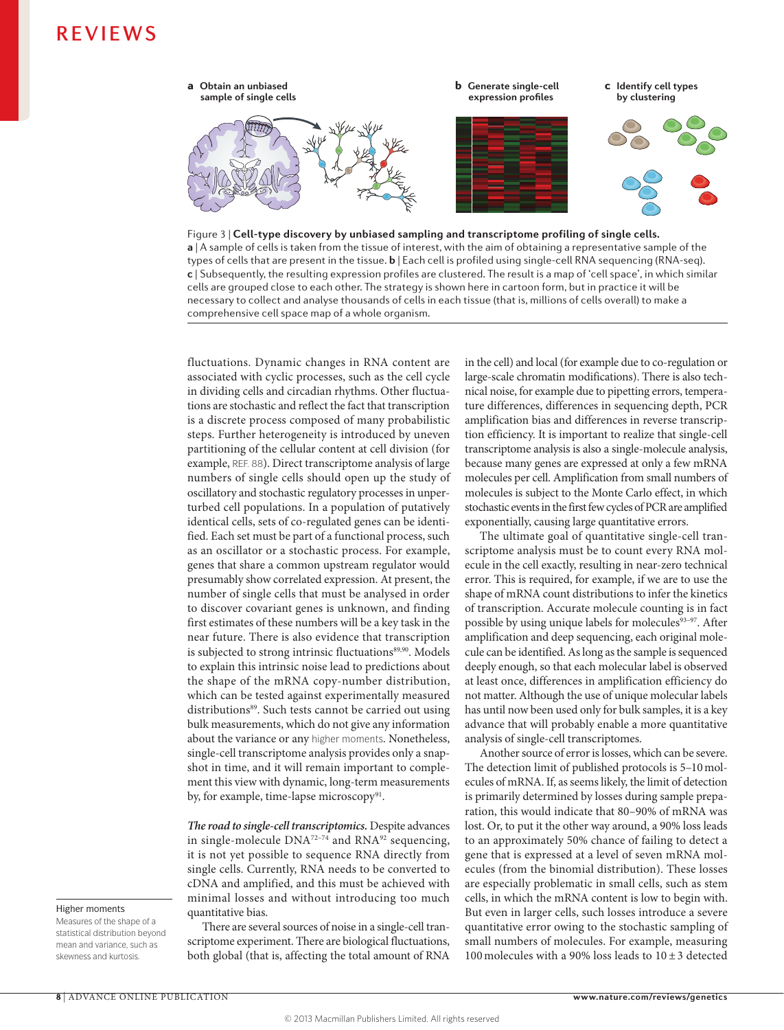

Figure 3 | **Cell-type discovery by unbiased sampling and transcriptome profiling of single cells. a** | A sample of cells is taken from the tissue of interest, with the aim of obtaining a representative sample of the types of cells that are present in the tissue. **b** | Each cell is profiled using single-cell RNA sequencing (RNA-seq). **c** | Subsequently, the resulting expression profiles are clustered. The result is a map of 'cell space', in which similar cells are grouped close to each other. The strategy is shown here in cartoon form, but in practice it will be necessary to collect and analyse thousands of cells in each tissue (that is, millions of cells overall) to make a comprehensive cell space map of a whole organism.

fluctuations. Dynamic changes in RNA content are associated with cyclic processes, such as the cell cycle in dividing cells and circadian rhythms. Other fluctuations are stochastic and reflect the fact that transcription is a discrete process composed of many probabilistic steps. Further heterogeneity is introduced by uneven partitioning of the cellular content at cell division (for example, REF. 88). Direct transcriptome analysis of large numbers of single cells should open up the study of oscillatory and stochastic regulatory processes in unperturbed cell populations. In a population of putatively identical cells, sets of co-regulated genes can be identified. Each set must be part of a functional process, such as an oscillator or a stochastic process. For example, genes that share a common upstream regulator would presumably show correlated expression. At present, the number of single cells that must be analysed in order to discover covariant genes is unknown, and finding first estimates of these numbers will be a key task in the near future. There is also evidence that transcription is subjected to strong intrinsic fluctuations<sup>89,90</sup>. Models to explain this intrinsic noise lead to predictions about the shape of the mRNA copy-number distribution, which can be tested against experimentally measured distributions<sup>89</sup>. Such tests cannot be carried out using bulk measurements, which do not give any information about the variance or any higher moments. Nonetheless, single-cell transcriptome analysis provides only a snapshot in time, and it will remain important to complement this view with dynamic, long-term measurements by, for example, time-lapse microscopy<sup>91</sup>.

*The road to single-cell transcriptomics.* Despite advances in single-molecule  $DNA^{72-74}$  and  $RNA^{92}$  sequencing, it is not yet possible to sequence RNA directly from single cells. Currently, RNA needs to be converted to cDNA and amplified, and this must be achieved with minimal losses and without introducing too much quantitative bias.

There are several sources of noise in a single-cell transcriptome experiment. There are biological fluctuations, both global (that is, affecting the total amount of RNA in the cell) and local (for example due to co-regulation or large-scale chromatin modifications). There is also technical noise, for example due to pipetting errors, temperature differences, differences in sequencing depth, PCR amplification bias and differences in reverse transcription efficiency. It is important to realize that single-cell transcriptome analysis is also a single-molecule analysis, because many genes are expressed at only a few mRNA molecules per cell. Amplification from small numbers of molecules is subject to the Monte Carlo effect, in which stochastic events in the first few cycles of PCR are amplified exponentially, causing large quantitative errors.

The ultimate goal of quantitative single-cell transcriptome analysis must be to count every RNA molecule in the cell exactly, resulting in near-zero technical error. This is required, for example, if we are to use the shape of mRNA count distributions to infer the kinetics of transcription. Accurate molecule counting is in fact possible by using unique labels for molecules<sup>93-97</sup>. After amplification and deep sequencing, each original molecule can be identified. As long as the sample is sequenced deeply enough, so that each molecular label is observed at least once, differences in amplification efficiency do not matter. Although the use of unique molecular labels has until now been used only for bulk samples, it is a key advance that will probably enable a more quantitative analysis of single-cell transcriptomes.

Another source of error is losses, which can be severe. The detection limit of published protocols is 5–10molecules of mRNA. If, as seems likely, the limit of detection is primarily determined by losses during sample preparation, this would indicate that 80–90% of mRNA was lost. Or, to put it the other way around, a 90% loss leads to an approximately 50% chance of failing to detect a gene that is expressed at a level of seven mRNA molecules (from the binomial distribution). These losses are especially problematic in small cells, such as stem cells, in which the mRNA content is low to begin with. But even in larger cells, such losses introduce a severe quantitative error owing to the stochastic sampling of small numbers of molecules. For example, measuring 100 molecules with a 90% loss leads to  $10 \pm 3$  detected

## Higher moments

Measures of the shape of a statistical distribution beyond mean and variance, such as skewness and kurtosis.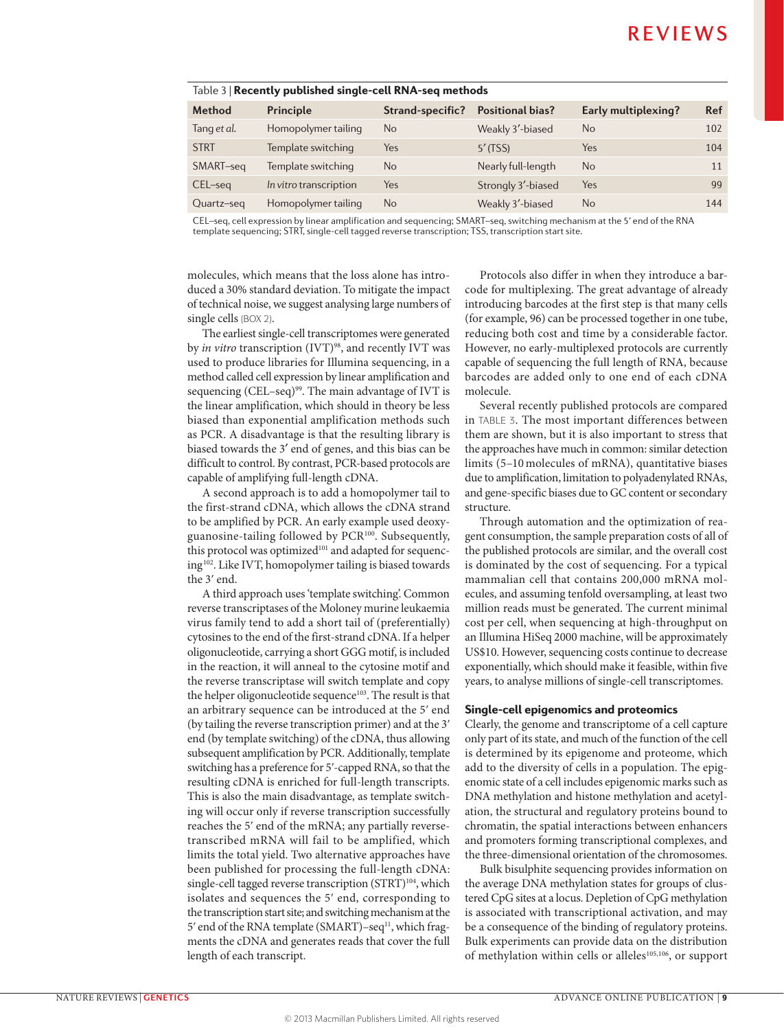| Table 3   Recently published single-cell RNA-seq methods |                        |                  |                         |                            |     |  |  |
|----------------------------------------------------------|------------------------|------------------|-------------------------|----------------------------|-----|--|--|
| <b>Method</b>                                            | Principle              | Strand-specific? | <b>Positional bias?</b> | <b>Early multiplexing?</b> | Ref |  |  |
| Tang et al.                                              | Homopolymer tailing    | No.              | Weakly 3'-biased        | N <sub>o</sub>             | 102 |  |  |
| <b>STRT</b>                                              | Template switching     | Yes              | 5'(TSS)                 | Yes                        | 104 |  |  |
| SMART-seq                                                | Template switching     | No               | Nearly full-length      | N <sub>o</sub>             | 11  |  |  |
| CEL-seg                                                  | In vitro transcription | Yes              | Strongly 3'-biased      | Yes                        | 99  |  |  |
| Quartz-seg                                               | Homopolymer tailing    | No.              | Weakly 3'-biased        | N <sub>o</sub>             | 144 |  |  |
|                                                          |                        |                  |                         |                            |     |  |  |

CEL–seq, cell expression by linear amplification and sequencing; SMART–seq, switching mechanism at the 5ʹ end of the RNA

template sequencing; STRT, single-cell tagged reverse transcription; TSS, transcription start site.

molecules, which means that the loss alone has introduced a 30% standard deviation. To mitigate the impact of technical noise, we suggest analysing large numbers of single cells (BOX 2).

The earliest single-cell transcriptomes were generated by *in vitro* transcription (IVT)<sup>98</sup>, and recently IVT was used to produce libraries for Illumina sequencing, in a method called cell expression by linear amplification and sequencing (CEL–seq)<sup>99</sup>. The main advantage of IVT is the linear amplification, which should in theory be less biased than exponential amplification methods such as PCR. A disadvantage is that the resulting library is biased towards the 3′ end of genes, and this bias can be difficult to control. By contrast, PCR-based protocols are capable of amplifying full-length cDNA.

A second approach is to add a homopolymer tail to the first-strand cDNA, which allows the cDNA strand to be amplified by PCR. An early example used deoxyguanosine-tailing followed by PCR<sup>100</sup>. Subsequently, this protocol was optimized<sup>101</sup> and adapted for sequencing102. Like IVT, homopolymer tailing is biased towards the 3ʹ end.

A third approach uses 'template switching'. Common reverse transcriptases of the Moloney murine leukaemia virus family tend to add a short tail of (preferentially) cytosines to the end of the first-strand cDNA. If a helper oligonucleotide, carrying a short GGG motif, is included in the reaction, it will anneal to the cytosine motif and the reverse transcriptase will switch template and copy the helper oligonucleotide sequence<sup>103</sup>. The result is that an arbitrary sequence can be introduced at the 5ʹ end (by tailing the reverse transcription primer) and at the 3ʹ end (by template switching) of the cDNA, thus allowing subsequent amplification by PCR. Additionally, template switching has a preference for 5ʹ-capped RNA, so that the resulting cDNA is enriched for full-length transcripts. This is also the main disadvantage, as template switching will occur only if reverse transcription successfully reaches the 5ʹ end of the mRNA; any partially reversetranscribed mRNA will fail to be amplified, which limits the total yield. Two alternative approaches have been published for processing the full-length cDNA: single-cell tagged reverse transcription (STRT)<sup>104</sup>, which isolates and sequences the 5ʹ end, corresponding to the transcription start site; and switching mechanism at the 5' end of the RNA template (SMART)-seq<sup>11</sup>, which fragments the cDNA and generates reads that cover the full length of each transcript.

Protocols also differ in when they introduce a barcode for multiplexing. The great advantage of already introducing barcodes at the first step is that many cells (for example, 96) can be processed together in one tube, reducing both cost and time by a considerable factor. However, no early-multiplexed protocols are currently capable of sequencing the full length of RNA, because barcodes are added only to one end of each cDNA molecule.

Several recently published protocols are compared in TABLE 3. The most important differences between them are shown, but it is also important to stress that the approaches have much in common: similar detection limits (5–10 molecules of mRNA), quantitative biases due to amplification, limitation to polyadenylated RNAs, and gene-specific biases due to GC content or secondary structure.

Through automation and the optimization of reagent consumption, the sample preparation costs of all of the published protocols are similar, and the overall cost is dominated by the cost of sequencing. For a typical mammalian cell that contains 200,000 mRNA molecules, and assuming tenfold oversampling, at least two million reads must be generated. The current minimal cost per cell, when sequencing at high-throughput on an Illumina HiSeq 2000 machine, will be approximately US\$10. However, sequencing costs continue to decrease exponentially, which should make it feasible, within five years, to analyse millions of single-cell transcriptomes.

#### Single-cell epigenomics and proteomics

Clearly, the genome and transcriptome of a cell capture only part of its state, and much of the function of the cell is determined by its epigenome and proteome, which add to the diversity of cells in a population. The epigenomic state of a cell includes epigenomic marks such as DNA methylation and histone methylation and acetylation, the structural and regulatory proteins bound to chromatin, the spatial interactions between enhancers and promoters forming transcriptional complexes, and the three-dimensional orientation of the chromosomes.

Bulk bisulphite sequencing provides information on the average DNA methylation states for groups of clustered CpG sites at a locus. Depletion of CpG methylation is associated with transcriptional activation, and may be a consequence of the binding of regulatory proteins. Bulk experiments can provide data on the distribution of methylation within cells or alleles<sup>105,106</sup>, or support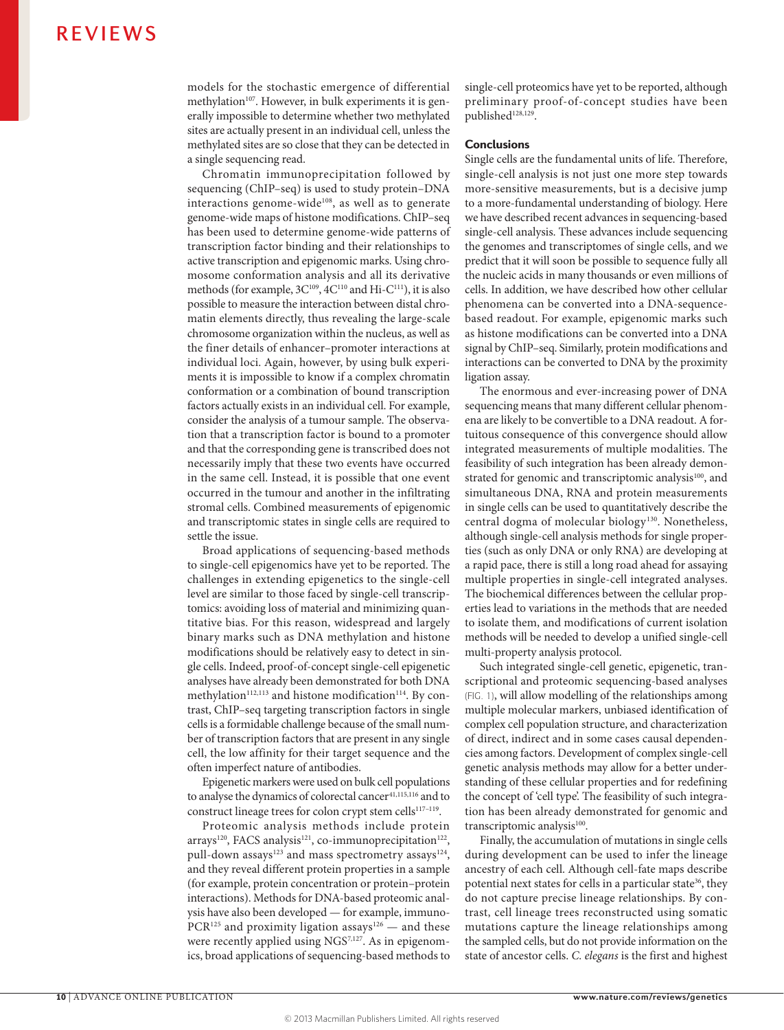models for the stochastic emergence of differential methylation<sup>107</sup>. However, in bulk experiments it is generally impossible to determine whether two methylated sites are actually present in an individual cell, unless the methylated sites are so close that they can be detected in a single sequencing read.

Chromatin immunoprecipitation followed by sequencing (ChIP–seq) is used to study protein–DNA interactions genome-wide<sup>108</sup>, as well as to generate genome-wide maps of histone modifications. ChIP–seq has been used to determine genome-wide patterns of transcription factor binding and their relationships to active transcription and epigenomic marks. Using chromosome conformation analysis and all its derivative methods (for example,  $3C^{109}$ ,  $4C^{110}$  and Hi-C<sup>111</sup>), it is also possible to measure the interaction between distal chromatin elements directly, thus revealing the large-scale chromosome organization within the nucleus, as well as the finer details of enhancer–promoter interactions at individual loci. Again, however, by using bulk experiments it is impossible to know if a complex chromatin conformation or a combination of bound transcription factors actually exists in an individual cell. For example, consider the analysis of a tumour sample. The observation that a transcription factor is bound to a promoter and that the corresponding gene is transcribed does not necessarily imply that these two events have occurred in the same cell. Instead, it is possible that one event occurred in the tumour and another in the infiltrating stromal cells. Combined measurements of epigenomic and transcriptomic states in single cells are required to settle the issue.

Broad applications of sequencing-based methods to single-cell epigenomics have yet to be reported. The challenges in extending epigenetics to the single-cell level are similar to those faced by single-cell transcriptomics: avoiding loss of material and minimizing quantitative bias. For this reason, widespread and largely binary marks such as DNA methylation and histone modifications should be relatively easy to detect in single cells. Indeed, proof-of-concept single-cell epigenetic analyses have already been demonstrated for both DNA methylation<sup>112,113</sup> and histone modification<sup>114</sup>. By contrast, ChIP–seq targeting transcription factors in single cells is a formidable challenge because of the small number of transcription factors that are present in any single cell, the low affinity for their target sequence and the often imperfect nature of antibodies.

Epigenetic markers were used on bulk cell populations to analyse the dynamics of colorectal cancer<sup>41,115,116</sup> and to construct lineage trees for colon crypt stem cells<sup>117-119</sup>.

Proteomic analysis methods include protein arrays<sup>120</sup>, FACS analysis<sup>121</sup>, co-immunoprecipitation<sup>122</sup>, pull-down assays<sup>123</sup> and mass spectrometry assays<sup>124</sup>, and they reveal different protein properties in a sample (for example, protein concentration or protein–protein interactions). Methods for DNA-based proteomic analysis have also been developed — for example, immuno-PCR<sup>125</sup> and proximity ligation assays<sup>126</sup> — and these were recently applied using NGS7,127. As in epigenomics, broad applications of sequencing-based methods to

single-cell proteomics have yet to be reported, although preliminary proof-of-concept studies have been published<sup>128,129</sup>.

### **Conclusions**

Single cells are the fundamental units of life. Therefore, single-cell analysis is not just one more step towards more-sensitive measurements, but is a decisive jump to a more-fundamental understanding of biology. Here we have described recent advances in sequencing-based single-cell analysis. These advances include sequencing the genomes and transcriptomes of single cells, and we predict that it will soon be possible to sequence fully all the nucleic acids in many thousands or even millions of cells. In addition, we have described how other cellular phenomena can be converted into a DNA-sequencebased readout. For example, epigenomic marks such as histone modifications can be converted into a DNA signal by ChIP–seq. Similarly, protein modifications and interactions can be converted to DNA by the proximity ligation assay.

The enormous and ever-increasing power of DNA sequencing means that many different cellular phenomena are likely to be convertible to a DNA readout. A fortuitous consequence of this convergence should allow integrated measurements of multiple modalities. The feasibility of such integration has been already demonstrated for genomic and transcriptomic analysis<sup>100</sup>, and simultaneous DNA, RNA and protein measurements in single cells can be used to quantitatively describe the central dogma of molecular biology<sup>130</sup>. Nonetheless, although single-cell analysis methods for single properties (such as only DNA or only RNA) are developing at a rapid pace, there is still a long road ahead for assaying multiple properties in single-cell integrated analyses. The biochemical differences between the cellular properties lead to variations in the methods that are needed to isolate them, and modifications of current isolation methods will be needed to develop a unified single-cell multi-property analysis protocol.

Such integrated single-cell genetic, epigenetic, transcriptional and proteomic sequencing-based analyses (FIG. 1), will allow modelling of the relationships among multiple molecular markers, unbiased identification of complex cell population structure, and characterization of direct, indirect and in some cases causal dependencies among factors. Development of complex single-cell genetic analysis methods may allow for a better understanding of these cellular properties and for redefining the concept of 'cell type'. The feasibility of such integration has been already demonstrated for genomic and transcriptomic analysis<sup>100</sup>.

Finally, the accumulation of mutations in single cells during development can be used to infer the lineage ancestry of each cell. Although cell-fate maps describe potential next states for cells in a particular state<sup>36</sup>, they do not capture precise lineage relationships. By contrast, cell lineage trees reconstructed using somatic mutations capture the lineage relationships among the sampled cells, but do not provide information on the state of ancestor cells. *C. elegans* is the first and highest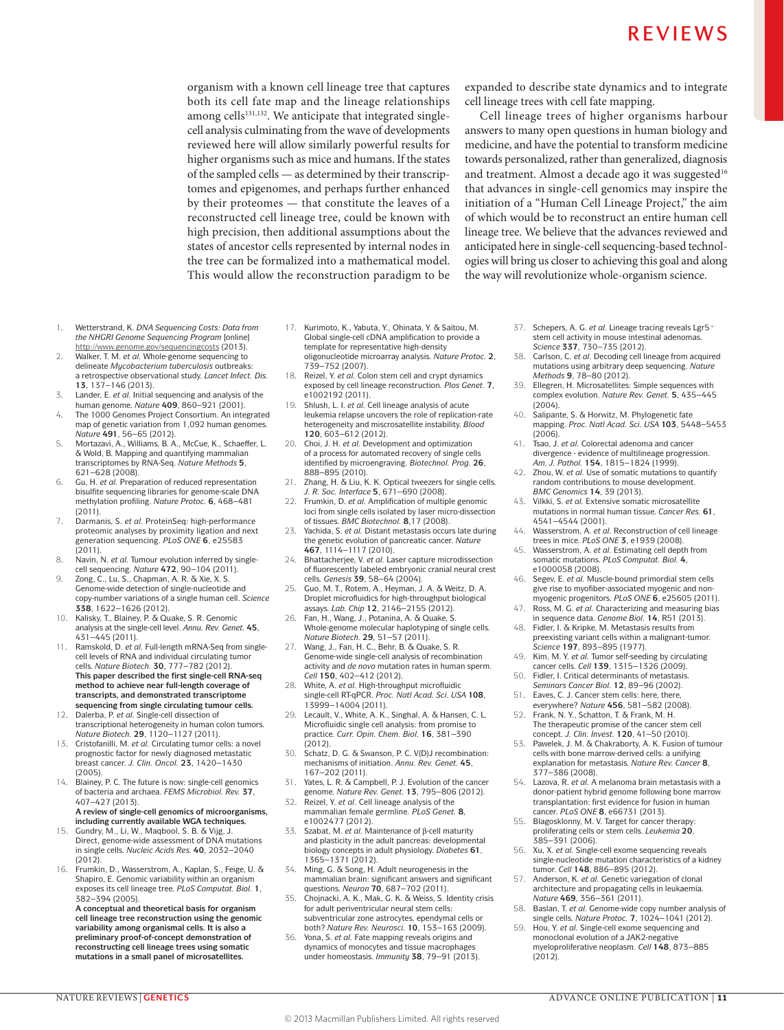organism with a known cell lineage tree that captures both its cell fate map and the lineage relationships among cells $^{131,132}$ . We anticipate that integrated singlecell analysis culminating from the wave of developments reviewed here will allow similarly powerful results for higher organisms such as mice and humans. If the states of the sampled cells — as determined by their transcriptomes and epigenomes, and perhaps further enhanced by their proteomes — that constitute the leaves of a reconstructed cell lineage tree, could be known with high precision, then additional assumptions about the states of ancestor cells represented by internal nodes in the tree can be formalized into a mathematical model. This would allow the reconstruction paradigm to be expanded to describe state dynamics and to integrate cell lineage trees with cell fate mapping.

Cell lineage trees of higher organisms harbour answers to many open questions in human biology and medicine, and have the potential to transform medicine towards personalized, rather than generalized, diagnosis and treatment. Almost a decade ago it was suggested<sup>16</sup> that advances in single-cell genomics may inspire the initiation of a "Human Cell Lineage Project," the aim of which would be to reconstruct an entire human cell lineage tree. We believe that the advances reviewed and anticipated here in single-cell sequencing-based technologies will bring us closer to achieving this goal and along the way will revolutionize whole-organism science.

- 1. Wetterstrand, K. *DNA Sequencing Costs: Data from the NHGRI Genome Sequencing Program* [online] <http://www.genome.gov/sequencingcosts>(2013).
- 2. Walker, T. M. *et al.* Whole-genome sequencing to delineate *Mycobacterium tuberculosis* outbreaks: a retrospective observational study. *Lancet Infect. Dis.*  **13**, 137–146 (2013).
- 3. Lander, E. *et al.* Initial sequencing and analysis of the human genome. *Nature* **409**, 860–921 (2001).
- 4. The 1000 Genomes Project Consortium. An integrated map of genetic variation from 1,092 human genomes. *Nature* **491**, 56–65 (2012).
- 5. Mortazavi, A., Williams, B. A., McCue, K., Schaeffer, L. & Wold, B. Mapping and quantifying mammalian transcriptomes by RNA-Seq. *Nature Methods* **5**, 621–628 (2008).
- 6. Gu, H. *et al.* Preparation of reduced representation bisulfite sequencing libraries for genome-scale DNA methylation profiling. *Nature Protoc.* **6**, 468–481  $(2011)$ .
- 7. Darmanis, S. *et al.* ProteinSeq: high-performance proteomic analyses by proximity ligation and next generation sequencing. *PLoS ONE* **6**, e25583 (2011).
- 8. Navin, N. *et al.* Tumour evolution inferred by singlecell sequencing. *Nature* **472**, 90–104 (2011).
- 9. Zong, C., Lu, S., Chapman, A. R. & Xie, X. S. Genome-wide detection of single-nucleotide and copy-number variations of a single human cell. *Science*  **338**, 1622–1626 (2012).
- 10. Kalisky, T., Blainey, P. & Quake, S. R. Genomic analysis at the single-cell level. *Annu. Rev. Genet.* **45**, 431–445 (2011).
- 11. Ramskold, D. *et al.* Full-length mRNA-Seq from singlecell levels of RNA and individual circulating tumor cells. *Nature Biotech.* **30**, 777–782 (2012). **This paper described the first single-cell RNA-seq method to achieve near full-length coverage of transcripts, and demonstrated transcriptome sequencing from single circulating tumour cells.**
- 12. Dalerba, P. *et al.* Single-cell dissection of transcriptional heterogeneity in human colon tumors. *Nature Biotech.* **29**, 1120–1127 (2011).
- 13. Cristofanilli, M. *et al.* Circulating tumor cells: a novel prognostic factor for newly diagnosed metastatic breast cancer. *J. Clin. Oncol.* **23**, 1420–1430 (2005).
- 14. Blainey, P. C. The future is now: single-cell genomics of bacteria and archaea. *FEMS Microbiol. Rev.* **37**, 407–427 (2013).

### **A review of single-cell genomics of microorganisms, including currently available WGA techniques.** Gundry, M., Li, W., Maqbool, S. B. & Vijg, J.

- Direct, genome-wide assessment of DNA mutations in single cells. *Nucleic Acids Res.* **40**, 2032–2040 (2012).
- 16. Frumkin, D., Wasserstrom, A., Kaplan, S., Feige, U. & Shapiro, E. Genomic variability within an organism exposes its cell lineage tree. *PLoS Computat. Biol.* **1**, 382–394 (2005).

**A conceptual and theoretical basis for organism cell lineage tree reconstruction using the genomic variability among organismal cells. It is also a preliminary proof-of-concept demonstration of reconstructing cell lineage trees using somatic mutations in a small panel of microsatellites.**

- 17. Kurimoto, K., Yabuta, Y., Ohinata, Y. & Saitou, M. Global single-cell cDNA amplification to provide a template for representative high-density oligonucleotide microarray analysis. *Nature Protoc.* **2**, 739–752 (2007).
- 18. Reizel, Y. *et al.* Colon stem cell and crypt dynamics exposed by cell lineage reconstruction*. Plos Genet.* **7**, e1002192 (2011).
- 19. Shlush, L. I. *et al.* Cell lineage analysis of acute leukemia relapse uncovers the role of replication-rate heterogeneity and miscrosatellite instability. *Blood*  **120**, 603–612 (2012).
- 20. Choi, J. H. *et al.* Development and optimization of a process for automated recovery of single cells identified by microengraving. *Biotechnol. Prog.* **26**, 888–895 (2010).
- 21. Zhang, H. & Liu, K. K. Optical tweezers for single cells. *J. R. Soc. Interface* **5**, 671–690 (2008).
- 22. Frumkin, D. *et al.* Amplification of multiple genomic loci from single cells isolated by laser micro-dissection of tissues. *BMC Biotechnol.* **8**,17 (2008).
- 23. Yachida, S. *et al.* Distant metastasis occurs late during the genetic evolution of pancreatic cancer. *Nature*  **467**, 1114–1117 (2010).
- 24. Bhattacherjee, V. *et al.* Laser capture microdissection of fluorescently labeled embryonic cranial neural crest cells. *Genesis* **39**, 58–64 (2004).
- 25. Guo, M. T., Rotem, A., Heyman, J. A. & Weitz, D. A. Droplet microfluidics for high-throughput biological assays. *Lab. Chip* **12**, 2146–2155 (2012).
- 26. Fan, H., Wang, J., Potanina, A. & Quake, S. Whole-genome molecular haplotyping of single cells*. Nature Biotech.* **29***,* 51*–*57 (2011).
- 27. Wang, J., Fan, H. C., Behr, B. & Quake, S. R. Genome-wide single-cell analysis of recombination activity and *de novo* mutation rates in human sperm. *Cell* **150**, 402–412 (2012).
- 28. White, A. *et al.* High-throughput microfluidic single-cell RT-qPCR. *Proc. Natl Acad. Sci. USA* **108**, 13999–14004 (2011).
- 29. Lecault, V., White, A. K., Singhal, A. & Hansen, C. L. Microfluidic single cell analysis: from promise to practice. *Curr. Opin. Chem. Biol.* **16**, 381–390  $(2012)$ .
- 30. Schatz, D. G. & Swanson, P. C. V(D)J recombination: mechanisms of initiation. *Annu. Rev. Genet.* **45**, 167–202 (2011).
- 31. Yates, L. R. & Campbell, P. J. Evolution of the cancer genome. *Nature Rev. Genet.* **13**, 795–806 (2012).
- 32. Reizel, Y. *et al.* Cell lineage analysis of the mammalian female germline*. PLoS Genet.* **8***,*  e1002477 (2012).
- Szabat, M. *et al.* Maintenance of β-cell maturity and plasticity in the adult pancreas: developmental biology concepts in adult physiology. *Diabetes* **61**, 1365–1371 (2012). 34. Ming, G. & Song, H. Adult neurogenesis in the
- mammalian brain: significant answers and significant questions. *Neuron* **70**, 687–702 (2011).
- 35. Chojnacki, A. K., Mak, G. K. & Weiss, S. Identity crisis for adult periventricular neural stem cells: subventricular zone astrocytes, ependymal cells or both? *Nature Rev. Neurosci.* **10**, 153–163 (2009).
- Yona, S. et al. Fate mapping reveals origins and dynamics of monocytes and tissue macrophages under homeostasis. *Immunity* **38**, 79–91 (2013).
- 37. Schepers, A. G. *et al.* Lineage tracing reveals Lgr5+ stem cell activity in mouse intestinal adenomas. *Science* **337**, 730–735 (2012).
- 38. Carlson, C. *et al.* Decoding cell lineage from acquired mutations using arbitrary deep sequencing. *Nature Methods* **9**, 78–80 (2012).
- 39. Ellegren, H. Microsatellites: Simple sequences with complex evolution. *Nature Rev. Genet.* **5**, 435–445  $(2004)$
- 40. Salipante, S. & Horwitz, M. Phylogenetic fate mapping. *Proc. Natl Acad. Sci. USA* **103**, 5448–5453 (2006).
- 41. Tsao, J. *et al.* Colorectal adenoma and cancer divergence - evidence of multilineage progression. *Am. J. Pathol.* **154**, 1815–1824 (1999).
- 42. Zhou, W. *et al.* Use of somatic mutations to quantify random contributions to mouse development. *BMC Genomics* **14**, 39 (2013).
- 43. Vilkki, S. *et al.* Extensive somatic microsatellite mutations in normal human tissue. *Cancer Res.* **61**, 4541–4544 (2001).
- 44. Wasserstrom, A. *et al.* Reconstruction of cell lineage trees in mice. *PLoS ONE* **3**, e1939 (2008).
- 45. Wasserstrom, A. *et al.* Estimating cell depth from somatic mutations. *PLoS Computat. Biol.* **4**, e1000058 (2008).
- 46. Segev, E. *et al.* Muscle-bound primordial stem cells give rise to myofiber-associated myogenic and non-
- myogenic progenitors. *PLoS ONE* **6**, e25605 (2011). 47. Ross, M. G. *et al.* Characterizing and measuring bias in sequence data. *Genome Biol.* **14**, R51 (2013).
- 48. Fidler, I. & Kripke, M. Metastasis results from preexisting variant cells within a malignant-tumor. *Science* **197**, 893–895 (1977).
- 49. Kim, M. Y. *et al.* Tumor self-seeding by circulating cancer cells. *Cell* **139**, 1315–1326 (2009).
- 50. Fidler, I. Critical determinants of metastasis. *Seminars Cancer Biol.* **12**, 89–96 (2002).
- 51. Eaves, C. J. Cancer stem cells: here, there, everywhere? *Nature* **456**, 581–582 (2008).
- 52. Frank, N. Y., Schatton, T. & Frank, M. H. The therapeutic promise of the cancer stem cell concept. *J. Clin. Invest.* **120**, 41–50 (2010).
- 53. Pawelek, J. M. & Chakraborty, A. K. Fusion of tumour cells with bone marrow-derived cells: a unifying explanation for metastasis. *Nature Rev. Cancer* **8**, 377–386 (2008).
- 54. Lazova, R. *et al.* A melanoma brain metastasis with a donor-patient hybrid genome following bone marrow transplantation: first evidence for fusion in human
- cancer. *PLoS ONE* **8**, e66731 (2013). 55. Blagosklonny, M. V. Target for cancer therapy: proliferating cells or stem cells. *Leukemia* **20**, 385–391 (2006).
- 56. Xu, X. *et al.* Single-cell exome sequencing reveals single-nucleotide mutation characteristics of a kidney tumor. *Cell* **148**, 886–895 (2012).
- 57. Anderson, K. *et al.* Genetic variegation of clonal architecture and propagating cells in leukaemia*. Nature* **469***,* 356*–*361 (2011).
- 58. Baslan, T. *et al.* Genome-wide copy number analysis of single cells. *Nature Protoc.* **7**, 1024–1041 (2012).
- 59. Hou, Y. *et al.* Single-cell exome sequencing and monoclonal evolution of a JAK2-negative myeloproliferative neoplasm. *Cell* **148**, 873–885 (2012).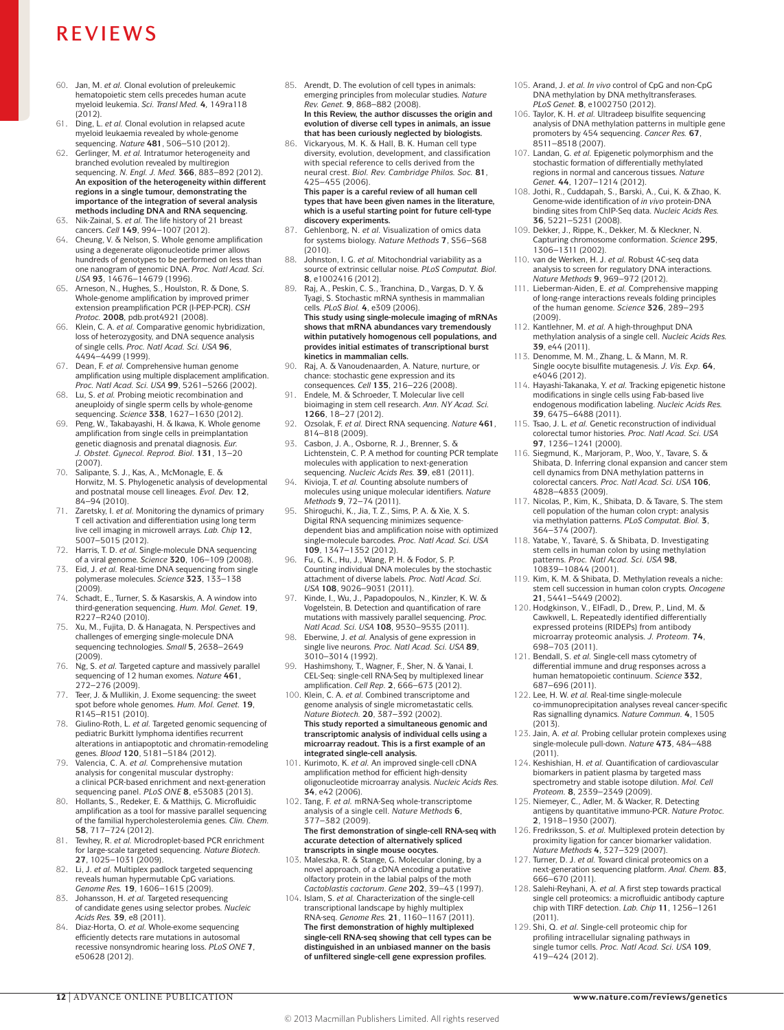- 60. Jan, M. *et al.* Clonal evolution of preleukemic hematopoietic stem cells precedes human acute myeloid leukemia. *Sci. Transl Med.* **4***,* 149ra118 (2012).
- 61. Ding, L. *et al.* Clonal evolution in relapsed acute myeloid leukaemia revealed by whole-genome sequencing. *Nature* **481**, 506–510 (2012).
- 62. Gerlinger, M. *et al.* Intratumor heterogeneity and branched evolution revealed by multiregion sequencing. *N. Engl. J. Med.* **366**, 883–892 (2012). **An exposition of the heterogeneity within different regions in a single tumour, demonstrating the importance of the integration of several analysis methods including DNA and RNA sequencing.**
- 63. Nik-Zainal, S. *et al.* The life history of 21 breast cancers. *Cell* **149**, 994–1007 (2012).
- 64. Cheung, V. & Nelson, S. Whole genome amplification using a degenerate oligonucleotide primer allows hundreds of genotypes to be performed on less than one nanogram of genomic DNA. *Proc. Natl Acad. Sci. USA* **93**, 14676–14679 (1996).
- 65. Arneson, N., Hughes, S., Houlston, R. & Done, S. Whole-genome amplification by improved primer extension preamplification PCR (I-PEP-PCR). *CSH Protoc.* **2008***,* pdb.prot4921 (2008).
- 66. Klein, C. A. *et al.* Comparative genomic hybridization, loss of heterozygosity, and DNA sequence analysis of single cells. *Proc. Natl Acad. Sci. USA* **96**, 4494–4499 (1999).
- 67. Dean, F. *et al.* Comprehensive human genome amplification using multiple displacement amplification. *Proc. Natl Acad. Sci. USA* **99**, 5261–5266 (2002).
- 68. Lu, S. *et al.* Probing meiotic recombination and aneuploidy of single sperm cells by whole-genome sequencing. *Science* **338**, 1627–1630 (2012).
- 69. Peng, W., Takabayashi, H. & Ikawa, K. Whole genome amplification from single cells in preimplantation genetic diagnosis and prenatal diagnosis. *Eur. J. Obstet. Gynecol. Reprod. Biol.* **131**, 13–20 (2007).
- 70. Salipante, S. J., Kas, A., McMonagle, E. & Horwitz, M. S. Phylogenetic analysis of developmental and postnatal mouse cell lineages. *Evol. Dev.* **12**, 84–94 (2010).
- Zaretsky, I. et al. Monitoring the dynamics of primary T cell activation and differentiation using long term live cell imaging in microwell arrays. *Lab. Chip* **12**, 5007–5015 (2012).
- 72. Harris, T. D. *et al.* Single-molecule DNA sequencing of a viral genome. *Science* **320**, 106–109 (2008).
- 73. Eid, J. *et al.* Real-time DNA sequencing from single polymerase molecules. *Science* **323**, 133–138 (2009).
- 74. Schadt, E., Turner, S. & Kasarskis, A. A window into third-generation sequencing. *Hum. Mol. Genet.* **19**, R227–R240 (2010).
- 75. Xu, M., Fujita, D. & Hanagata, N. Perspectives and challenges of emerging single-molecule DNA sequencing technologies. *Small* **5**, 2638–2649 (2009).
- Ng, S. *et al.* Targeted capture and massively parallel sequencing of 12 human exomes. *Nature* **461**, 272–276 (2009).
- 77. Teer, J. & Mullikin, J. Exome sequencing: the sweet spot before whole genomes. *Hum. Mol. Genet.* **19**, R145–R151 (2010).
- Giulino-Roth, L. *et al.* Targeted genomic sequencing of pediatric Burkitt lymphoma identifies recurrent alterations in antiapoptotic and chromatin-remodeling genes. *Blood* **120**, 5181–5184 (2012).
- 79. Valencia, C. A. *et al.* Comprehensive mutation analysis for congenital muscular dystrophy: a clinical PCR-based enrichment and next-generation
- sequencing panel. *PLoS ONE* **8**, e53083 (2013). 80. Hollants, S., Redeker, E. & Matthijs, G. Microfluidic amplification as a tool for massive parallel sequencing of the familial hypercholesterolemia genes. *Clin. Chem.*  **58**, 717–724 (2012).
- Tewhey, R. et al. Microdroplet-based PCR enrichment for large-scale targeted sequencing. *Nature Biotech.*  **27**, 1025–1031 (2009).
- 82. Li, J. *et al.* Multiplex padlock targeted sequencing reveals human hypermutable CpG variations. *Genome Res.* **19**, 1606–1615 (2009).
- 83. Johansson, H. *et al.* Targeted resequencing of candidate genes using selector probes. *Nucleic Acids Res.* **39**, e8 (2011).
- 84. Diaz-Horta, O. *et al.* Whole-exome sequencing efficiently detects rare mutations in autosomal recessive nonsyndromic hearing loss. *PLoS ONE* **7**, e50628 (2012).
- 85. Arendt, D. The evolution of cell types in animals: emerging principles from molecular studies. *Nature Rev. Genet.* **9**, 868–882 (2008). **In this Review, the author discusses the origin and evolution of diverse cell types in animals, an issue that has been curiously neglected by biologists.**
- 86. Vickaryous, M. K. & Hall, B. K. Human cell type diversity, evolution, development, and classification with special reference to cells derived from the neural crest. *Biol. Rev. Cambridge Philos. Soc.* **81**, 425–455 (2006).

**This paper is a careful review of all human cell types that have been given names in the literature, which is a useful starting point for future cell-type discovery experiments.**

- 87. Gehlenborg, N. *et al.* Visualization of omics data for systems biology. *Nature Methods* **7**, S56–S68 (2010).
- 88. Johnston, I. G. *et al.* Mitochondrial variability as a source of extrinsic cellular noise. *PLoS Computat. Biol.*  **8**, e1002416 (2012). 89. Raj, A., Peskin, C. S., Tranchina, D., Vargas, D. Y. &
- Tyagi, S. Stochastic mRNA synthesis in mammalian cells. *PLoS Biol.* **4**, e309 (2006). **This study using single-molecule imaging of mRNAs shows that mRNA abundances vary tremendously within putatively homogenous cell populations, and provides initial estimates of transcriptional burst kinetics in mammalian cells.**
- 90. Raj, A. & Vanoudenaarden, A. Nature, nurture, or chance: stochastic gene expression and its consequences. *Cell* **135**, 216–226 (2008).
- 91. Endele, M. & Schroeder, T. Molecular live cell bioimaging in stem cell research. *Ann. NY Acad. Sci.*  **1266**, 18–27 (2012).
- 92. Ozsolak, F. *et al.* Direct RNA sequencing. *Nature* **461**,
- 814–818 (2009). 93. Casbon, J. A., Osborne, R. J., Brenner, S. & Lichtenstein, C. P. A method for counting PCR template molecules with application to next-generation sequencing. *Nucleic Acids Res.* **39**, e81 (2011).
- 94. Kivioja, T. *et al.* Counting absolute numbers of molecules using unique molecular identifiers. *Nature Methods* **9**, 72–74 (2011).
- 95. Shiroguchi, K., Jia, T. Z., Sims, P. A. & Xie, X. S. Digital RNA sequencing minimizes sequencedependent bias and amplification noise with optimized single-molecule barcodes. *Proc. Natl Acad. Sci. USA* **109**, 1347–1352 (2012).
- 96. Fu, G. K., Hu, J., Wang, P. H. & Fodor, S. P. Counting individual DNA molecules by the stochastic attachment of diverse labels. *Proc. Natl Acad. Sci.*
- *USA* **108**, 9026–9031 (2011). 97. Kinde, I., Wu, J., Papadopoulos, N., Kinzler, K. W. & Vogelstein, B. Detection and quantification of rare mutations with massively parallel sequencing. *Proc. Natl Acad. Sci. USA* **108**, 9530–9535 (2011).
- 98. Eberwine, J. *et al.* Analysis of gene expression in single live neurons. *Proc. Natl Acad. Sci. USA* **89**, 3010–3014 (1992).
- Hashimshony, T., Wagner, F., Sher, N. & Yanai, I. CEL-Seq: single-cell RNA-Seq by multiplexed linear amplification. *Cell Rep.* **2**, 666–673 (2012).
- 100. Klein, C. A. *et al.* Combined transcriptome and genome analysis of single micrometastatic cells. *Nature Biotech.* **20**, 387–392 (2002). **This study reported a simultaneous genomic and transcriptomic analysis of individual cells using a microarray readout. This is a first example of an integrated single-cell analysis.**
- 101. Kurimoto, K. *et al.* An improved single-cell cDNA amplification method for efficient high-density oligonucleotide microarray analysis. *Nucleic Acids Res.*  **34**, e42 (2006).
- 102. Tang, F. *et al.* mRNA-Seq whole-transcriptome analysis of a single cell. *Nature Methods* **6**, 377–382 (2009). **The first demonstration of single-cell RNA-seq with accurate detection of alternatively spliced**
- **transcripts in single mouse oocytes.** 103. Maleszka, R. & Stange, G. Molecular cloning, by a novel approach, of a cDNA encoding a putative olfactory protein in the labial palps of the moth
- *Cactoblastis cactorum*. *Gene* **202**, 39–43 (1997). 104. Islam, S. *et al.* Characterization of the single-cell transcriptional landscape by highly multiplex RNA-seq. *Genome Res.* **21**, 1160–1167 (2011). **The first demonstration of highly multiplexed single-cell RNA-seq showing that cell types can be distinguished in an unbiased manner on the basis of unfiltered single-cell gene expression profiles.**
- 105. Arand, J. *et al. In vivo* control of CpG and non-CpG DNA methylation by DNA methyltransferases. *PLoS Genet.* **8**, e1002750 (2012).
- 106. Taylor, K. H. *et al.* Ultradeep bisulfite sequencing analysis of DNA methylation patterns in multiple gene promoters by 454 sequencing. *Cancer Res.* **67**, 8511–8518 (2007).
- 107. Landan, G. *et al.* Epigenetic polymorphism and the stochastic formation of differentially methylated regions in normal and cancerous tissues. *Nature Genet.* **44**, 1207–1214 (2012).
- 108. Jothi, R., Cuddapah, S., Barski, A., Cui, K. & Zhao, K. Genome-wide identification of *in vivo* protein-DNA binding sites from ChIP-Seq data. *Nucleic Acids Res.*  **36**, 5221–5231 (2008).
- 109. Dekker, J., Rippe, K., Dekker, M. & Kleckner, N. Capturing chromosome conformation. *Science* **295**, 1306–1311 (2002).
- 110. van de Werken, H. J. *et al.* Robust 4C-seq data analysis to screen for regulatory DNA interactions. *Nature Methods* **9**, 969–972 (2012).
- 111. Lieberman-Aiden, E. *et al.* Comprehensive mapping of long-range interactions reveals folding principles of the human genome. *Science* **326**, 289–293 (2009).
- 112. Kantlehner, M. *et al.* A high-throughput DNA methylation analysis of a single cell. *Nucleic Acids Res.*  **39**, e44 (2011).
- 113. Denomme, M. M., Zhang, L. & Mann, M. R. Single oocyte bisulfite mutagenesis. *J. Vis. Exp.* **64**, e4046 (2012).
- 114. Hayashi-Takanaka, Y. *et al.* Tracking epigenetic histone modifications in single cells using Fab-based live endogenous modification labeling. *Nucleic Acids Res.*  **39**, 6475–6488 (2011).
- 115. Tsao, J. L. *et al.* Genetic reconstruction of individual colorectal tumor histories. *Proc. Natl Acad. Sci. USA*  **97**, 1236–1241 (2000).
- 116. Siegmund, K., Marjoram, P., Woo, Y., Tavare, S. & Shibata, D. Inferring clonal expansion and cancer stem cell dynamics from DNA methylation patterns in colorectal cancers. *Proc. Natl Acad. Sci. USA* **106**, 4828–4833 (2009).
- 117. Nicolas, P., Kim, K., Shibata, D. & Tavare, S. The stem cell population of the human colon crypt: analysis via methylation patterns. *PLoS Computat. Biol.* **3**, 364–374 (2007).
- 118. Yatabe, Y., Tavaré, S. & Shibata, D. Investigating stem cells in human colon by using methylation patterns. *Proc. Natl Acad. Sci. USA* **98**, 10839–10844 (2001).
- 119. Kim, K. M. & Shibata, D. Methylation reveals a niche: stem cell succession in human colon crypts. *Oncogene*  **21**, 5441–5449 (2002).
- 120. Hodgkinson, V., ElFadl, D., Drew, P., Lind, M. & Cawkwell, L. Repeatedly identified differentially expressed proteins (RIDEPs) from antibody microarray proteomic analysis. *J. Proteom.* **74**, 698–703 (2011).<br>121. Bendall, S. *et al.* Single-cell mass cytometry of
- differential immune and drug responses across a human hematopoietic continuum. *Science* **332**, 687–696 (2011).
- 122. Lee, H. W. *et al.* Real-time single-molecule co-immunoprecipitation analyses reveal cancer-specific Ras signalling dynamics. *Nature Commun.* **4**, 1505 (2013).
- 123. Jain, A. *et al.* Probing cellular protein complexes using single-molecule pull-down. *Nature* **473**, 484–488 (2011).
- 124. Keshishian, H. *et al.* Quantification of cardiovascular biomarkers in patient plasma by targeted mass spectrometry and stable isotope dilution. *Mol. Cell*
- *Proteom.* **8**, 2339–2349 (2009). 125. Niemeyer, C., Adler, M. & Wacker, R. Detecting antigens by quantitative immuno-PCR. *Nature Protoc.*  **2**, 1918–1930 (2007).
- 126. Fredriksson, S. *et al.* Multiplexed protein detection by proximity ligation for cancer biomarker validation. *Nature Methods* **4**, 327–329 (2007).
- 127. Turner, D. J. *et al.* Toward clinical proteomics on a next-generation sequencing platform. *Anal. Chem.* **83**, 666–670 (2011).
- 128. Salehi-Reyhani, A. *et al.* A first step towards practical single cell proteomics: a microfluidic antibody capture chip with TIRF detection. *Lab. Chip* **11**, 1256–1261 (2011).
- 129. Shi, Q. *et al.* Single-cell proteomic chip for profiling intracellular signaling pathways in single tumor cells. *Proc. Natl Acad. Sci. USA* **109**, 419–424 (2012).